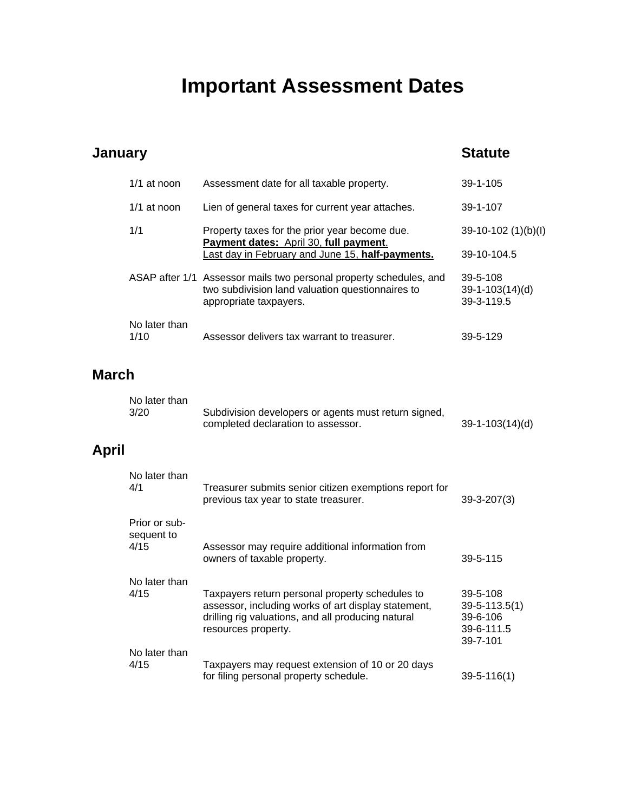# **Important Assessment Dates**

#### **January Statute** 1/1 at noon Assessment date for all taxable property. 39-1-105 1/1 at noon Lien of general taxes for current year attaches. 39-1-107 1/1 Property taxes for the prior year become due. 39-10-102 (1)(b)(I) **Payment dates:** April 30, **full payment**. Last day in February and June 15, half-payments. 39-10-104.5 ASAP after 1/1 Assessor mails two personal property schedules, and 39-5-108 two subdivision land valuation questionnaires to 39-1-103(14)(d) appropriate taxpayers. The settlement of the settlement of the settlement of the settlement of the settlement o No later than 1/10 Assessor delivers tax warrant to treasurer. 39-5-129 **March** No later than 3/20 Subdivision developers or agents must return signed, completed declaration to assessor. 39-1-103(14)(d) **April** No later than 4/1 Treasurer submits senior citizen exemptions report for previous tax year to state treasurer. 39-3-207(3) Prior or sub sequent to 4/15 Assessor may require additional information from owners of taxable property. The same state of taxable property. No later than 4/15 Taxpayers return personal property schedules to 39-5-108 assessor, including works of art display statement, 39-5-113.5(1) drilling rig valuations, and all producing natural 39-6-106 resources property.<br>39-6-111.5<br>39-7-101 39-7-101 No later than 4/15 Taxpayers may request extension of 10 or 20 days for filing personal property schedule. 39-5-116(1)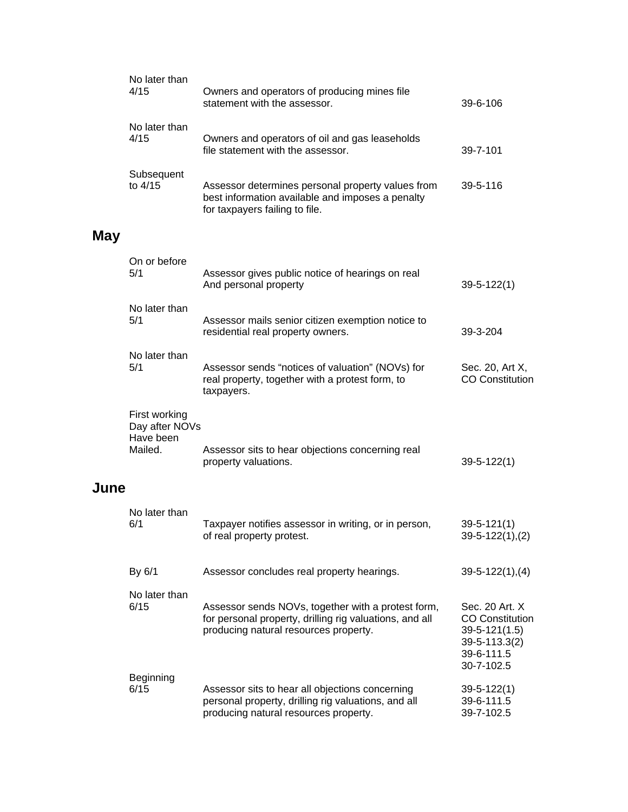|      | No later than<br>4/15                                   | Owners and operators of producing mines file<br>statement with the assessor.                                                                           | 39-6-106                                                                                                     |
|------|---------------------------------------------------------|--------------------------------------------------------------------------------------------------------------------------------------------------------|--------------------------------------------------------------------------------------------------------------|
|      | No later than<br>4/15                                   | Owners and operators of oil and gas leaseholds<br>file statement with the assessor.                                                                    | 39-7-101                                                                                                     |
|      | Subsequent<br>to 4/15                                   | Assessor determines personal property values from<br>best information available and imposes a penalty<br>for taxpayers failing to file.                | 39-5-116                                                                                                     |
| May  |                                                         |                                                                                                                                                        |                                                                                                              |
|      | On or before<br>5/1                                     | Assessor gives public notice of hearings on real<br>And personal property                                                                              | $39 - 5 - 122(1)$                                                                                            |
|      | No later than<br>5/1                                    | Assessor mails senior citizen exemption notice to<br>residential real property owners.                                                                 | 39-3-204                                                                                                     |
|      | No later than<br>5/1                                    | Assessor sends "notices of valuation" (NOVs) for<br>real property, together with a protest form, to<br>taxpayers.                                      | Sec. 20, Art X,<br><b>CO Constitution</b>                                                                    |
| June | First working<br>Day after NOVs<br>Have been<br>Mailed. | Assessor sits to hear objections concerning real<br>property valuations.                                                                               | $39 - 5 - 122(1)$                                                                                            |
|      | No later than<br>6/1                                    | Taxpayer notifies assessor in writing, or in person,<br>of real property protest.                                                                      | $39 - 5 - 121(1)$<br>$39-5-122(1), (2)$                                                                      |
|      | By 6/1                                                  | Assessor concludes real property hearings.                                                                                                             | $39-5-122(1), (4)$                                                                                           |
|      | No later than<br>6/15                                   | Assessor sends NOVs, together with a protest form,<br>for personal property, drilling rig valuations, and all<br>producing natural resources property. | Sec. 20 Art. X<br><b>CO Constitution</b><br>$39 - 5 - 121(1.5)$<br>39-5-113.3(2)<br>39-6-111.5<br>30-7-102.5 |
|      | Beginning<br>6/15                                       | Assessor sits to hear all objections concerning<br>personal property, drilling rig valuations, and all<br>producing natural resources property.        | $39 - 5 - 122(1)$<br>39-6-111.5<br>39-7-102.5                                                                |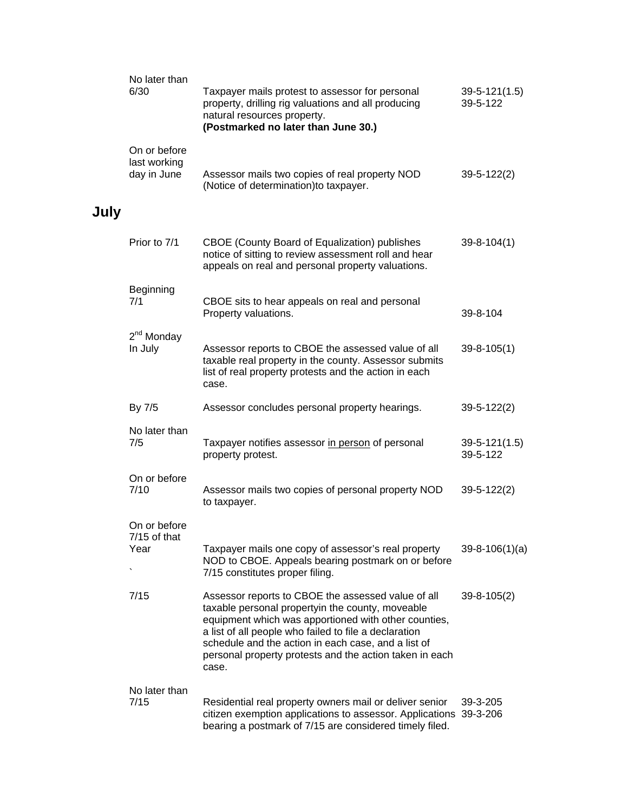|      | No later than<br>6/30                       | Taxpayer mails protest to assessor for personal<br>property, drilling rig valuations and all producing<br>natural resources property.<br>(Postmarked no later than June 30.)                                                                                                                                                                       | $39-5-121(1.5)$<br>39-5-122     |
|------|---------------------------------------------|----------------------------------------------------------------------------------------------------------------------------------------------------------------------------------------------------------------------------------------------------------------------------------------------------------------------------------------------------|---------------------------------|
|      | On or before<br>last working<br>day in June | Assessor mails two copies of real property NOD<br>(Notice of determination) to taxpayer.                                                                                                                                                                                                                                                           | $39 - 5 - 122(2)$               |
| July |                                             |                                                                                                                                                                                                                                                                                                                                                    |                                 |
|      | Prior to 7/1                                | CBOE (County Board of Equalization) publishes<br>notice of sitting to review assessment roll and hear<br>appeals on real and personal property valuations.                                                                                                                                                                                         | $39 - 8 - 104(1)$               |
|      | Beginning<br>7/1                            | CBOE sits to hear appeals on real and personal<br>Property valuations.                                                                                                                                                                                                                                                                             | 39-8-104                        |
|      | $2nd$ Monday<br>In July                     | Assessor reports to CBOE the assessed value of all<br>taxable real property in the county. Assessor submits<br>list of real property protests and the action in each<br>case.                                                                                                                                                                      | $39 - 8 - 105(1)$               |
|      | By 7/5                                      | Assessor concludes personal property hearings.                                                                                                                                                                                                                                                                                                     | $39 - 5 - 122(2)$               |
|      | No later than<br>7/5                        | Taxpayer notifies assessor in person of personal<br>property protest.                                                                                                                                                                                                                                                                              | $39 - 5 - 121(1.5)$<br>39-5-122 |
|      | On or before<br>7/10                        | Assessor mails two copies of personal property NOD<br>to taxpayer.                                                                                                                                                                                                                                                                                 | $39 - 5 - 122(2)$               |
|      | On or before<br>7/15 of that<br>Year        | Taxpayer mails one copy of assessor's real property<br>NOD to CBOE. Appeals bearing postmark on or before<br>7/15 constitutes proper filing.                                                                                                                                                                                                       | $39 - 8 - 106(1)(a)$            |
|      | 7/15                                        | Assessor reports to CBOE the assessed value of all<br>taxable personal propertyin the county, moveable<br>equipment which was apportioned with other counties,<br>a list of all people who failed to file a declaration<br>schedule and the action in each case, and a list of<br>personal property protests and the action taken in each<br>case. | $39 - 8 - 105(2)$               |
|      | No later than<br>7/15                       | Residential real property owners mail or deliver senior<br>citizen exemption applications to assessor. Applications 39-3-206<br>bearing a postmark of 7/15 are considered timely filed.                                                                                                                                                            | 39-3-205                        |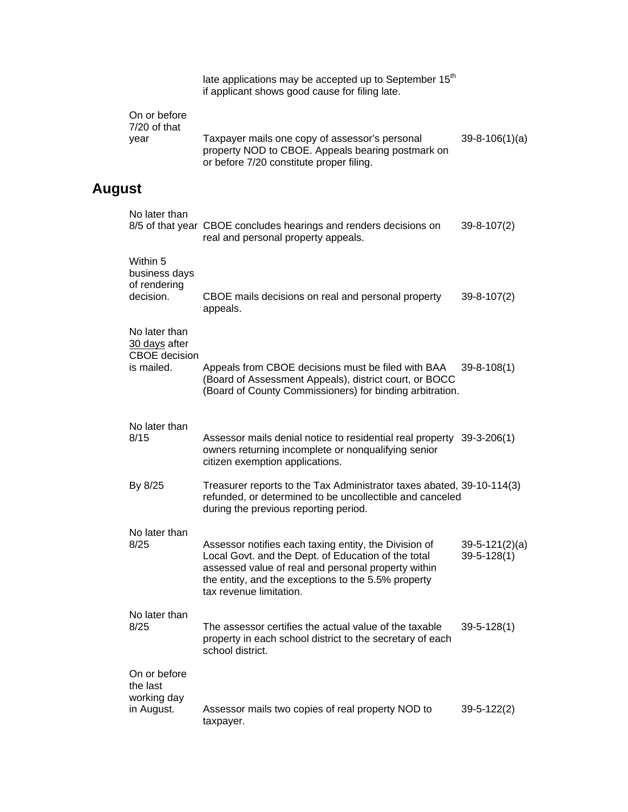late applications may be accepted up to September 15<sup>th</sup> if applicant shows good cause for filing late.

|      | On or before<br>$7/20$ of that |                                                                                                                                                 |                      |
|------|--------------------------------|-------------------------------------------------------------------------------------------------------------------------------------------------|----------------------|
| vear |                                | Taxpayer mails one copy of assessor's personal<br>property NOD to CBOE. Appeals bearing postmark on<br>or before 7/20 constitute proper filing. | $39 - 8 - 106(1)(a)$ |

## **August**

| No later than                                                        | 8/5 of that year CBOE concludes hearings and renders decisions on<br>real and personal property appeals.                                                                                                                                              | $39 - 8 - 107(2)$                     |
|----------------------------------------------------------------------|-------------------------------------------------------------------------------------------------------------------------------------------------------------------------------------------------------------------------------------------------------|---------------------------------------|
| Within 5<br>business days<br>of rendering<br>decision.               | CBOE mails decisions on real and personal property<br>appeals.                                                                                                                                                                                        | $39 - 8 - 107(2)$                     |
| No later than<br>30 days after<br><b>CBOE</b> decision<br>is mailed. | Appeals from CBOE decisions must be filed with BAA<br>(Board of Assessment Appeals), district court, or BOCC<br>(Board of County Commissioners) for binding arbitration.                                                                              | $39 - 8 - 108(1)$                     |
| No later than<br>8/15                                                | Assessor mails denial notice to residential real property 39-3-206(1)<br>owners returning incomplete or nonqualifying senior<br>citizen exemption applications.                                                                                       |                                       |
| By 8/25                                                              | Treasurer reports to the Tax Administrator taxes abated, 39-10-114(3)<br>refunded, or determined to be uncollectible and canceled<br>during the previous reporting period.                                                                            |                                       |
| No later than<br>8/25                                                | Assessor notifies each taxing entity, the Division of<br>Local Govt. and the Dept. of Education of the total<br>assessed value of real and personal property within<br>the entity, and the exceptions to the 5.5% property<br>tax revenue limitation. | $39-5-121(2)(a)$<br>$39 - 5 - 128(1)$ |
| No later than<br>8/25                                                | The assessor certifies the actual value of the taxable<br>property in each school district to the secretary of each<br>school district.                                                                                                               | $39 - 5 - 128(1)$                     |
| On or before<br>the last<br>working day<br>in August.                | Assessor mails two copies of real property NOD to<br>taxpayer.                                                                                                                                                                                        | $39 - 5 - 122(2)$                     |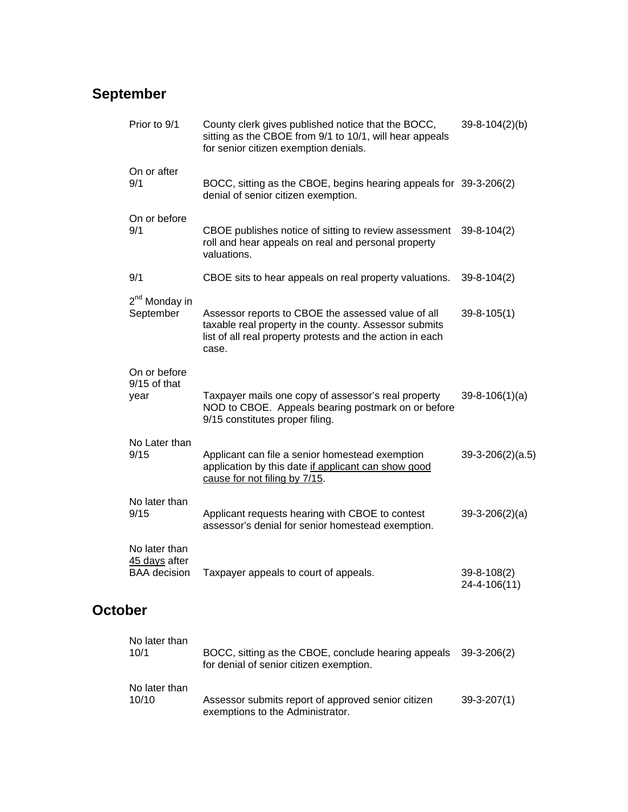## **September**

| Prior to 9/1                                          | County clerk gives published notice that the BOCC,<br>sitting as the CBOE from 9/1 to 10/1, will hear appeals<br>for senior citizen exemption denials.                            | $39 - 8 - 104(2)(b)$              |
|-------------------------------------------------------|-----------------------------------------------------------------------------------------------------------------------------------------------------------------------------------|-----------------------------------|
| On or after<br>9/1                                    | BOCC, sitting as the CBOE, begins hearing appeals for 39-3-206(2)<br>denial of senior citizen exemption.                                                                          |                                   |
| On or before<br>9/1                                   | CBOE publishes notice of sitting to review assessment<br>roll and hear appeals on real and personal property<br>valuations.                                                       | $39 - 8 - 104(2)$                 |
| 9/1                                                   | CBOE sits to hear appeals on real property valuations.                                                                                                                            | $39 - 8 - 104(2)$                 |
| 2 <sup>nd</sup> Monday in<br>September                | Assessor reports to CBOE the assessed value of all<br>taxable real property in the county. Assessor submits<br>list of all real property protests and the action in each<br>case. | $39 - 8 - 105(1)$                 |
| On or before<br>$9/15$ of that<br>year                | Taxpayer mails one copy of assessor's real property<br>NOD to CBOE. Appeals bearing postmark on or before<br>9/15 constitutes proper filing.                                      | $39 - 8 - 106(1)(a)$              |
| No Later than<br>9/15                                 | Applicant can file a senior homestead exemption<br>application by this date if applicant can show good<br>cause for not filing by 7/15.                                           | $39-3-206(2)(a.5)$                |
| No later than<br>9/15                                 | Applicant requests hearing with CBOE to contest<br>assessor's denial for senior homestead exemption.                                                                              | $39-3-206(2)(a)$                  |
| No later than<br>45 days after<br><b>BAA</b> decision | Taxpayer appeals to court of appeals.                                                                                                                                             | $39 - 8 - 108(2)$<br>24-4-106(11) |

## **October**

| No later than<br>10/1  | BOCC, sitting as the CBOE, conclude hearing appeals<br>for denial of senior citizen exemption. | 39-3-206(2)       |
|------------------------|------------------------------------------------------------------------------------------------|-------------------|
| No later than<br>10/10 | Assessor submits report of approved senior citizen<br>exemptions to the Administrator.         | $39 - 3 - 207(1)$ |